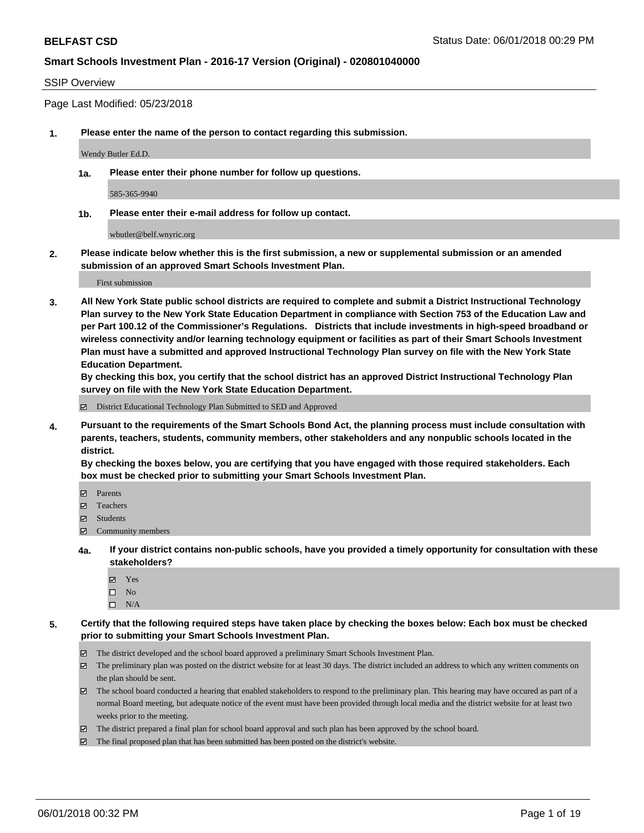### SSIP Overview

Page Last Modified: 05/23/2018

**1. Please enter the name of the person to contact regarding this submission.**

Wendy Butler Ed.D.

**1a. Please enter their phone number for follow up questions.**

585-365-9940

**1b. Please enter their e-mail address for follow up contact.**

wbutler@belf.wnyric.org

**2. Please indicate below whether this is the first submission, a new or supplemental submission or an amended submission of an approved Smart Schools Investment Plan.**

First submission

**3. All New York State public school districts are required to complete and submit a District Instructional Technology Plan survey to the New York State Education Department in compliance with Section 753 of the Education Law and per Part 100.12 of the Commissioner's Regulations. Districts that include investments in high-speed broadband or wireless connectivity and/or learning technology equipment or facilities as part of their Smart Schools Investment Plan must have a submitted and approved Instructional Technology Plan survey on file with the New York State Education Department.** 

**By checking this box, you certify that the school district has an approved District Instructional Technology Plan survey on file with the New York State Education Department.**

District Educational Technology Plan Submitted to SED and Approved

**4. Pursuant to the requirements of the Smart Schools Bond Act, the planning process must include consultation with parents, teachers, students, community members, other stakeholders and any nonpublic schools located in the district.** 

**By checking the boxes below, you are certifying that you have engaged with those required stakeholders. Each box must be checked prior to submitting your Smart Schools Investment Plan.**

- Parents
- Teachers
- Students
- $\Xi$  Community members
- **4a. If your district contains non-public schools, have you provided a timely opportunity for consultation with these stakeholders?**
	- Yes
	- $\square$  No
	- $\square$  N/A
- **5. Certify that the following required steps have taken place by checking the boxes below: Each box must be checked prior to submitting your Smart Schools Investment Plan.**
	- The district developed and the school board approved a preliminary Smart Schools Investment Plan.
	- $\boxtimes$  The preliminary plan was posted on the district website for at least 30 days. The district included an address to which any written comments on the plan should be sent.
	- $\boxtimes$  The school board conducted a hearing that enabled stakeholders to respond to the preliminary plan. This hearing may have occured as part of a normal Board meeting, but adequate notice of the event must have been provided through local media and the district website for at least two weeks prior to the meeting.
	- The district prepared a final plan for school board approval and such plan has been approved by the school board.
	- $\boxtimes$  The final proposed plan that has been submitted has been posted on the district's website.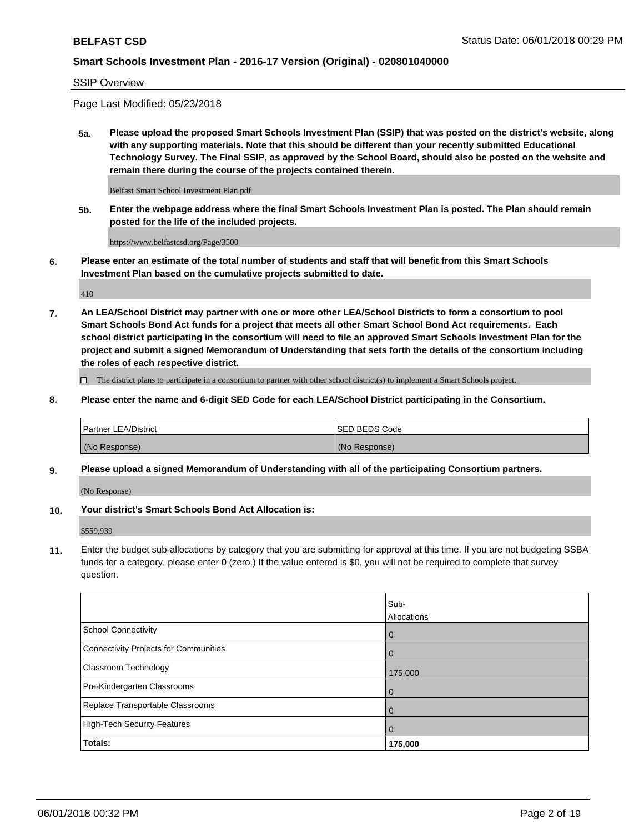SSIP Overview

Page Last Modified: 05/23/2018

**5a. Please upload the proposed Smart Schools Investment Plan (SSIP) that was posted on the district's website, along with any supporting materials. Note that this should be different than your recently submitted Educational Technology Survey. The Final SSIP, as approved by the School Board, should also be posted on the website and remain there during the course of the projects contained therein.**

Belfast Smart School Investment Plan.pdf

**5b. Enter the webpage address where the final Smart Schools Investment Plan is posted. The Plan should remain posted for the life of the included projects.**

https://www.belfastcsd.org/Page/3500

**6. Please enter an estimate of the total number of students and staff that will benefit from this Smart Schools Investment Plan based on the cumulative projects submitted to date.**

410

**7. An LEA/School District may partner with one or more other LEA/School Districts to form a consortium to pool Smart Schools Bond Act funds for a project that meets all other Smart School Bond Act requirements. Each school district participating in the consortium will need to file an approved Smart Schools Investment Plan for the project and submit a signed Memorandum of Understanding that sets forth the details of the consortium including the roles of each respective district.**

 $\Box$  The district plans to participate in a consortium to partner with other school district(s) to implement a Smart Schools project.

**8. Please enter the name and 6-digit SED Code for each LEA/School District participating in the Consortium.**

| <b>Partner LEA/District</b> | <b>ISED BEDS Code</b> |
|-----------------------------|-----------------------|
| (No Response)               | (No Response)         |

#### **9. Please upload a signed Memorandum of Understanding with all of the participating Consortium partners.**

(No Response)

**10. Your district's Smart Schools Bond Act Allocation is:**

\$559,939

**11.** Enter the budget sub-allocations by category that you are submitting for approval at this time. If you are not budgeting SSBA funds for a category, please enter 0 (zero.) If the value entered is \$0, you will not be required to complete that survey question.

|                                       | Sub-<br><b>Allocations</b> |
|---------------------------------------|----------------------------|
| School Connectivity                   | l 0                        |
| Connectivity Projects for Communities | $\overline{0}$             |
| Classroom Technology                  | 175,000                    |
| Pre-Kindergarten Classrooms           | $\overline{0}$             |
| Replace Transportable Classrooms      | 0                          |
| High-Tech Security Features           | $\overline{0}$             |
| Totals:                               | 175,000                    |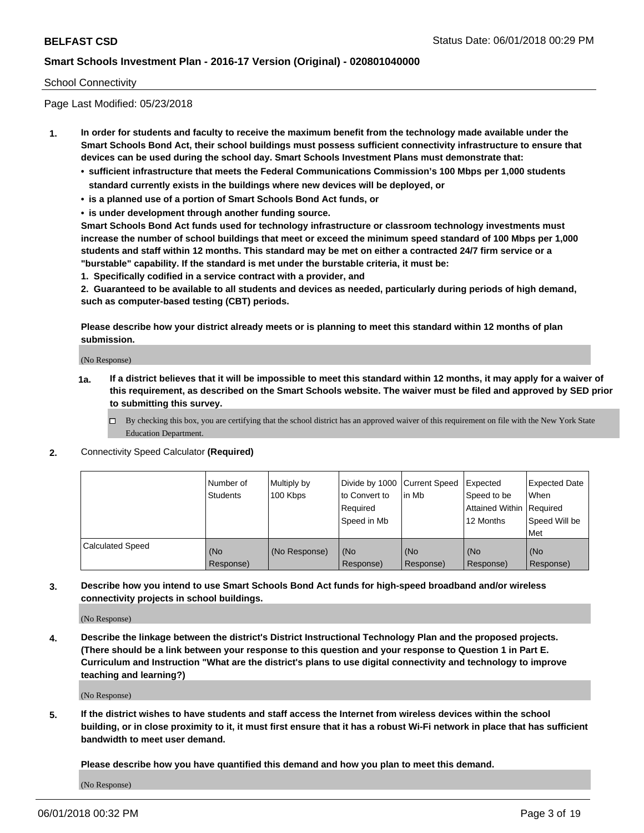### School Connectivity

Page Last Modified: 05/23/2018

- **1. In order for students and faculty to receive the maximum benefit from the technology made available under the Smart Schools Bond Act, their school buildings must possess sufficient connectivity infrastructure to ensure that devices can be used during the school day. Smart Schools Investment Plans must demonstrate that:**
	- **• sufficient infrastructure that meets the Federal Communications Commission's 100 Mbps per 1,000 students standard currently exists in the buildings where new devices will be deployed, or**
	- **• is a planned use of a portion of Smart Schools Bond Act funds, or**
	- **• is under development through another funding source.**

**Smart Schools Bond Act funds used for technology infrastructure or classroom technology investments must increase the number of school buildings that meet or exceed the minimum speed standard of 100 Mbps per 1,000 students and staff within 12 months. This standard may be met on either a contracted 24/7 firm service or a "burstable" capability. If the standard is met under the burstable criteria, it must be:**

**1. Specifically codified in a service contract with a provider, and**

**2. Guaranteed to be available to all students and devices as needed, particularly during periods of high demand, such as computer-based testing (CBT) periods.**

**Please describe how your district already meets or is planning to meet this standard within 12 months of plan submission.**

(No Response)

- **1a. If a district believes that it will be impossible to meet this standard within 12 months, it may apply for a waiver of this requirement, as described on the Smart Schools website. The waiver must be filed and approved by SED prior to submitting this survey.**
	- By checking this box, you are certifying that the school district has an approved waiver of this requirement on file with the New York State Education Department.
- **2.** Connectivity Speed Calculator **(Required)**

|                         | l Number of<br>Students | Multiply by<br>100 Kbps | Divide by 1000 Current Speed<br>to Convert to<br>Required<br>Speed in Mb | lin Mb           | Expected<br>Speed to be<br>Attained Within   Required<br>12 Months | <b>Expected Date</b><br>When<br>Speed Will be<br>Met |
|-------------------------|-------------------------|-------------------------|--------------------------------------------------------------------------|------------------|--------------------------------------------------------------------|------------------------------------------------------|
| <b>Calculated Speed</b> | (No<br>Response)        | (No Response)           | (No<br>Response)                                                         | (No<br>Response) | (No<br>Response)                                                   | l (No<br>Response)                                   |

**3. Describe how you intend to use Smart Schools Bond Act funds for high-speed broadband and/or wireless connectivity projects in school buildings.**

(No Response)

**4. Describe the linkage between the district's District Instructional Technology Plan and the proposed projects. (There should be a link between your response to this question and your response to Question 1 in Part E. Curriculum and Instruction "What are the district's plans to use digital connectivity and technology to improve teaching and learning?)**

(No Response)

**5. If the district wishes to have students and staff access the Internet from wireless devices within the school building, or in close proximity to it, it must first ensure that it has a robust Wi-Fi network in place that has sufficient bandwidth to meet user demand.**

**Please describe how you have quantified this demand and how you plan to meet this demand.**

(No Response)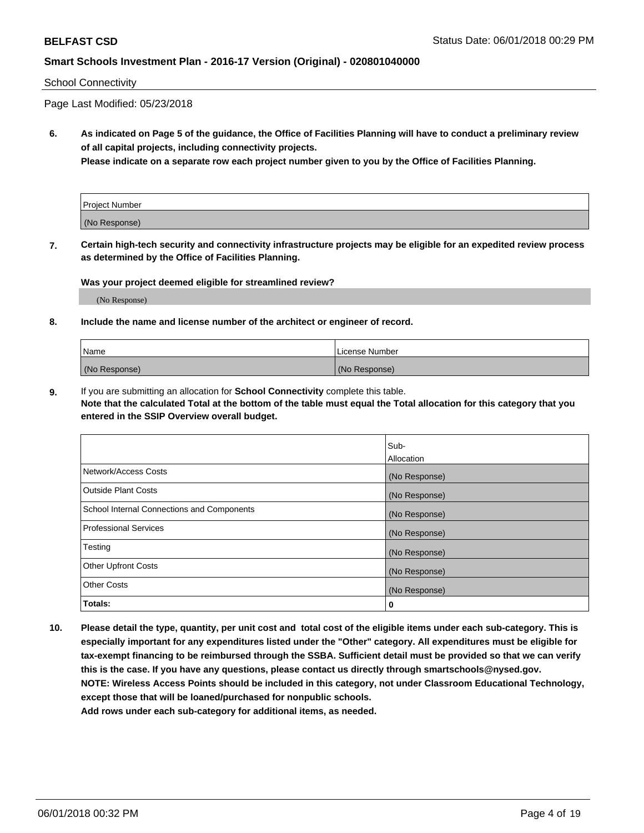#### School Connectivity

Page Last Modified: 05/23/2018

**6. As indicated on Page 5 of the guidance, the Office of Facilities Planning will have to conduct a preliminary review of all capital projects, including connectivity projects.**

**Please indicate on a separate row each project number given to you by the Office of Facilities Planning.**

| Project Number |  |
|----------------|--|
| (No Response)  |  |

**7. Certain high-tech security and connectivity infrastructure projects may be eligible for an expedited review process as determined by the Office of Facilities Planning.**

#### **Was your project deemed eligible for streamlined review?**

(No Response)

#### **8. Include the name and license number of the architect or engineer of record.**

| Name          | License Number |
|---------------|----------------|
| (No Response) | (No Response)  |

**9.** If you are submitting an allocation for **School Connectivity** complete this table.

**Note that the calculated Total at the bottom of the table must equal the Total allocation for this category that you entered in the SSIP Overview overall budget.** 

|                                            | Sub-<br><b>Allocation</b> |
|--------------------------------------------|---------------------------|
| Network/Access Costs                       | (No Response)             |
| Outside Plant Costs                        | (No Response)             |
| School Internal Connections and Components | (No Response)             |
| Professional Services                      | (No Response)             |
| Testing                                    | (No Response)             |
| <b>Other Upfront Costs</b>                 | (No Response)             |
| <b>Other Costs</b>                         | (No Response)             |
| Totals:                                    | 0                         |

**10. Please detail the type, quantity, per unit cost and total cost of the eligible items under each sub-category. This is especially important for any expenditures listed under the "Other" category. All expenditures must be eligible for tax-exempt financing to be reimbursed through the SSBA. Sufficient detail must be provided so that we can verify this is the case. If you have any questions, please contact us directly through smartschools@nysed.gov. NOTE: Wireless Access Points should be included in this category, not under Classroom Educational Technology, except those that will be loaned/purchased for nonpublic schools.**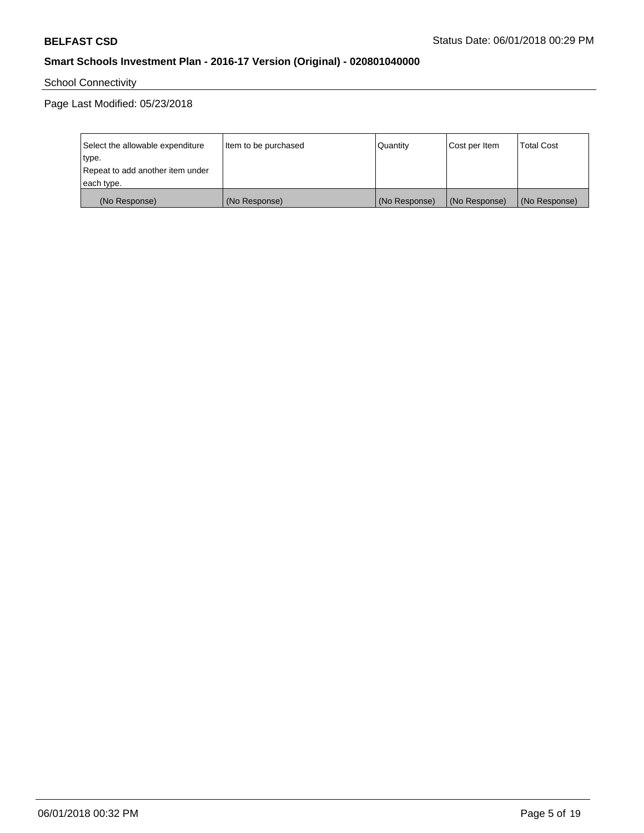School Connectivity

Page Last Modified: 05/23/2018

| Select the allowable expenditure | Item to be purchased | Quantity      | Cost per Item | <b>Total Cost</b> |
|----------------------------------|----------------------|---------------|---------------|-------------------|
| type.                            |                      |               |               |                   |
| Repeat to add another item under |                      |               |               |                   |
| each type.                       |                      |               |               |                   |
| (No Response)                    | (No Response)        | (No Response) | (No Response) | (No Response)     |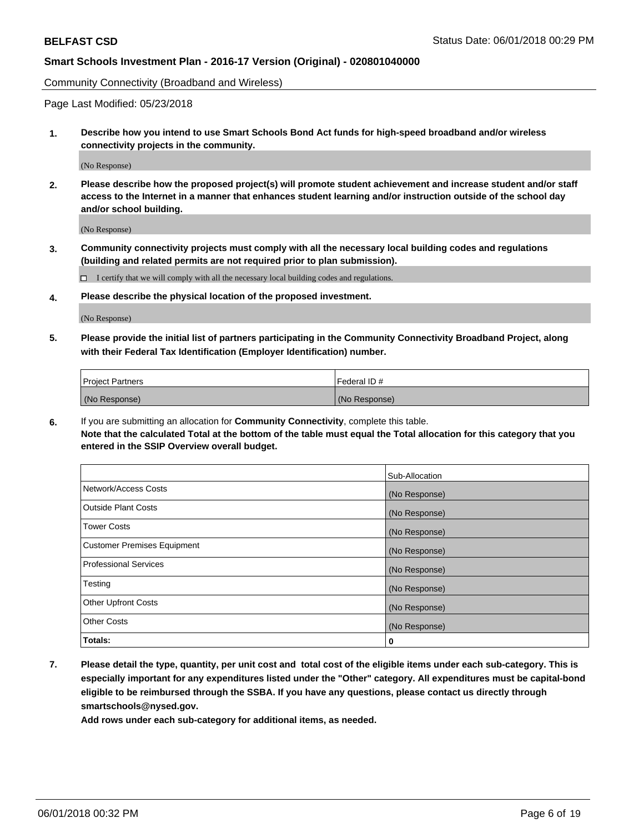Community Connectivity (Broadband and Wireless)

Page Last Modified: 05/23/2018

**1. Describe how you intend to use Smart Schools Bond Act funds for high-speed broadband and/or wireless connectivity projects in the community.**

(No Response)

**2. Please describe how the proposed project(s) will promote student achievement and increase student and/or staff access to the Internet in a manner that enhances student learning and/or instruction outside of the school day and/or school building.**

(No Response)

**3. Community connectivity projects must comply with all the necessary local building codes and regulations (building and related permits are not required prior to plan submission).**

 $\Box$  I certify that we will comply with all the necessary local building codes and regulations.

**4. Please describe the physical location of the proposed investment.**

(No Response)

**5. Please provide the initial list of partners participating in the Community Connectivity Broadband Project, along with their Federal Tax Identification (Employer Identification) number.**

| <b>Project Partners</b> | l Federal ID # |
|-------------------------|----------------|
| (No Response)           | (No Response)  |

**6.** If you are submitting an allocation for **Community Connectivity**, complete this table. **Note that the calculated Total at the bottom of the table must equal the Total allocation for this category that you entered in the SSIP Overview overall budget.**

|                                    | Sub-Allocation |
|------------------------------------|----------------|
| Network/Access Costs               | (No Response)  |
| Outside Plant Costs                | (No Response)  |
| <b>Tower Costs</b>                 | (No Response)  |
| <b>Customer Premises Equipment</b> | (No Response)  |
| Professional Services              | (No Response)  |
| Testing                            | (No Response)  |
| <b>Other Upfront Costs</b>         | (No Response)  |
| <b>Other Costs</b>                 | (No Response)  |
| Totals:                            | 0              |

**7. Please detail the type, quantity, per unit cost and total cost of the eligible items under each sub-category. This is especially important for any expenditures listed under the "Other" category. All expenditures must be capital-bond eligible to be reimbursed through the SSBA. If you have any questions, please contact us directly through smartschools@nysed.gov.**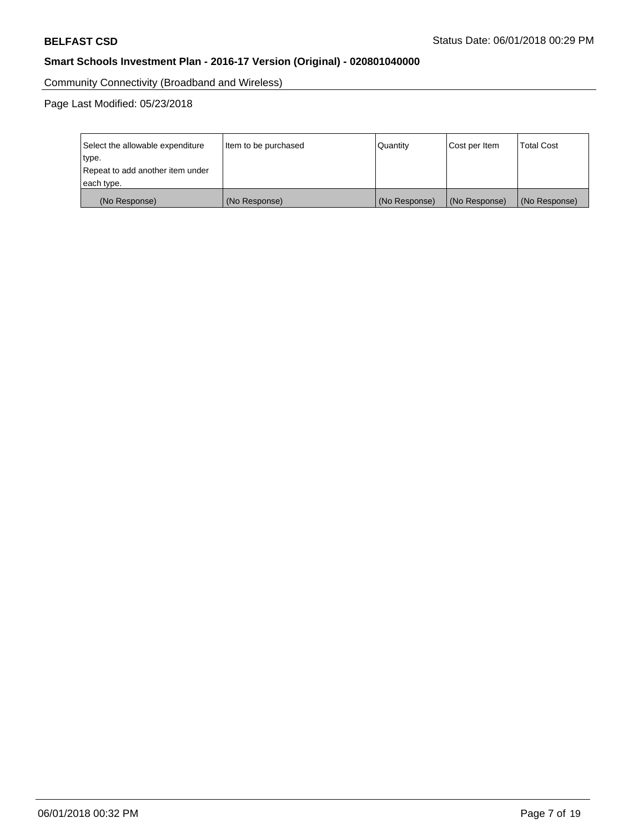Community Connectivity (Broadband and Wireless)

Page Last Modified: 05/23/2018

| Select the allowable expenditure<br>type.<br>Repeat to add another item under | Item to be purchased | Quantity      | Cost per Item | <b>Total Cost</b> |
|-------------------------------------------------------------------------------|----------------------|---------------|---------------|-------------------|
| each type.                                                                    |                      |               |               |                   |
| (No Response)                                                                 | (No Response)        | (No Response) | (No Response) | (No Response)     |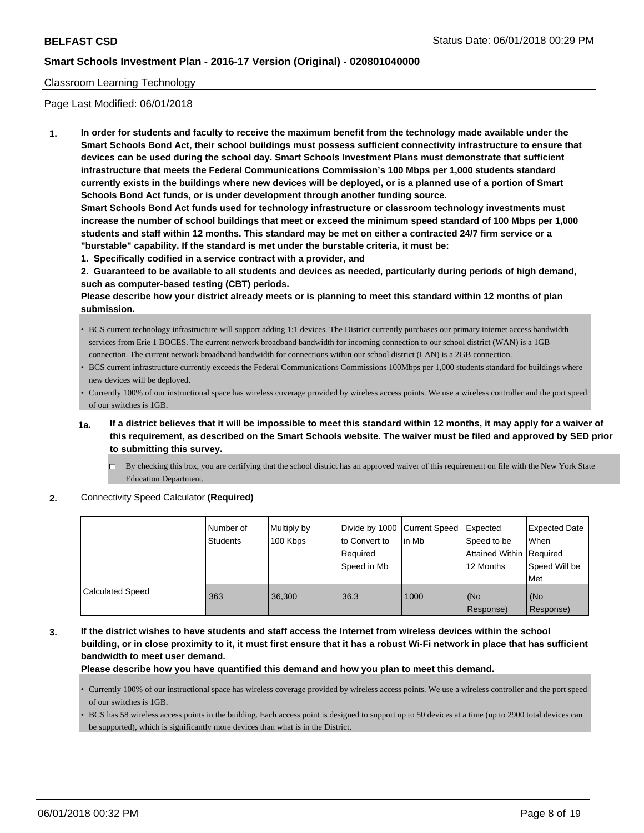### Classroom Learning Technology

Page Last Modified: 06/01/2018

**1. In order for students and faculty to receive the maximum benefit from the technology made available under the Smart Schools Bond Act, their school buildings must possess sufficient connectivity infrastructure to ensure that devices can be used during the school day. Smart Schools Investment Plans must demonstrate that sufficient infrastructure that meets the Federal Communications Commission's 100 Mbps per 1,000 students standard currently exists in the buildings where new devices will be deployed, or is a planned use of a portion of Smart Schools Bond Act funds, or is under development through another funding source.**

**Smart Schools Bond Act funds used for technology infrastructure or classroom technology investments must increase the number of school buildings that meet or exceed the minimum speed standard of 100 Mbps per 1,000 students and staff within 12 months. This standard may be met on either a contracted 24/7 firm service or a "burstable" capability. If the standard is met under the burstable criteria, it must be:**

**1. Specifically codified in a service contract with a provider, and**

**2. Guaranteed to be available to all students and devices as needed, particularly during periods of high demand, such as computer-based testing (CBT) periods.**

**Please describe how your district already meets or is planning to meet this standard within 12 months of plan submission.**

- BCS current technology infrastructure will support adding 1:1 devices. The District currently purchases our primary internet access bandwidth services from Erie 1 BOCES. The current network broadband bandwidth for incoming connection to our school district (WAN) is a 1GB connection. The current network broadband bandwidth for connections within our school district (LAN) is a 2GB connection.
- BCS current infrastructure currently exceeds the Federal Communications Commissions 100Mbps per 1,000 students standard for buildings where new devices will be deployed.
- Currently 100% of our instructional space has wireless coverage provided by wireless access points. We use a wireless controller and the port speed of our switches is 1GB.
- **1a. If a district believes that it will be impossible to meet this standard within 12 months, it may apply for a waiver of this requirement, as described on the Smart Schools website. The waiver must be filed and approved by SED prior to submitting this survey.**
	- By checking this box, you are certifying that the school district has an approved waiver of this requirement on file with the New York State Education Department.
- **2.** Connectivity Speed Calculator **(Required)**

|                         | l Number of<br>Students | Multiply by<br>100 Kbps | Divide by 1000 Current Speed<br>to Convert to<br>Required<br>Speed in Mb | lin Mb | Expected<br>Speed to be<br>Attained Within   Required<br>12 Months | <b>Expected Date</b><br>When<br>Speed Will be<br>l Met |
|-------------------------|-------------------------|-------------------------|--------------------------------------------------------------------------|--------|--------------------------------------------------------------------|--------------------------------------------------------|
| <b>Calculated Speed</b> | 363                     | 36.300                  | 36.3                                                                     | 1000   | (No<br>Response)                                                   | l (No<br>Response)                                     |

**3. If the district wishes to have students and staff access the Internet from wireless devices within the school building, or in close proximity to it, it must first ensure that it has a robust Wi-Fi network in place that has sufficient bandwidth to meet user demand.**

### **Please describe how you have quantified this demand and how you plan to meet this demand.**

- Currently 100% of our instructional space has wireless coverage provided by wireless access points. We use a wireless controller and the port speed of our switches is 1GB.
- BCS has 58 wireless access points in the building. Each access point is designed to support up to 50 devices at a time (up to 2900 total devices can be supported), which is significantly more devices than what is in the District.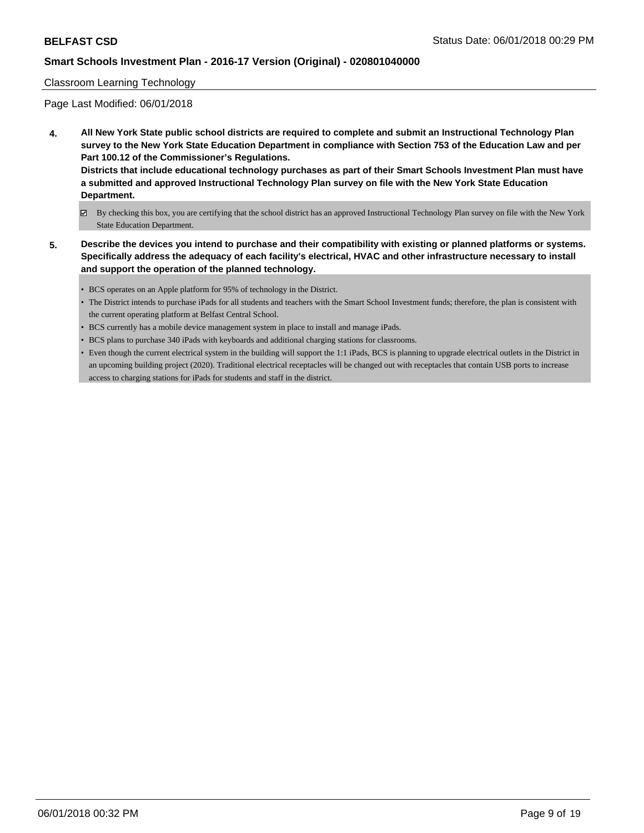### Classroom Learning Technology

Page Last Modified: 06/01/2018

**4. All New York State public school districts are required to complete and submit an Instructional Technology Plan survey to the New York State Education Department in compliance with Section 753 of the Education Law and per Part 100.12 of the Commissioner's Regulations.**

**Districts that include educational technology purchases as part of their Smart Schools Investment Plan must have a submitted and approved Instructional Technology Plan survey on file with the New York State Education Department.**

- By checking this box, you are certifying that the school district has an approved Instructional Technology Plan survey on file with the New York State Education Department.
- **5. Describe the devices you intend to purchase and their compatibility with existing or planned platforms or systems. Specifically address the adequacy of each facility's electrical, HVAC and other infrastructure necessary to install and support the operation of the planned technology.**
	- BCS operates on an Apple platform for 95% of technology in the District.
	- The District intends to purchase iPads for all students and teachers with the Smart School Investment funds; therefore, the plan is consistent with the current operating platform at Belfast Central School.
	- BCS currently has a mobile device management system in place to install and manage iPads.
	- BCS plans to purchase 340 iPads with keyboards and additional charging stations for classrooms.
	- Even though the current electrical system in the building will support the 1:1 iPads, BCS is planning to upgrade electrical outlets in the District in an upcoming building project (2020). Traditional electrical receptacles will be changed out with receptacles that contain USB ports to increase access to charging stations for iPads for students and staff in the district.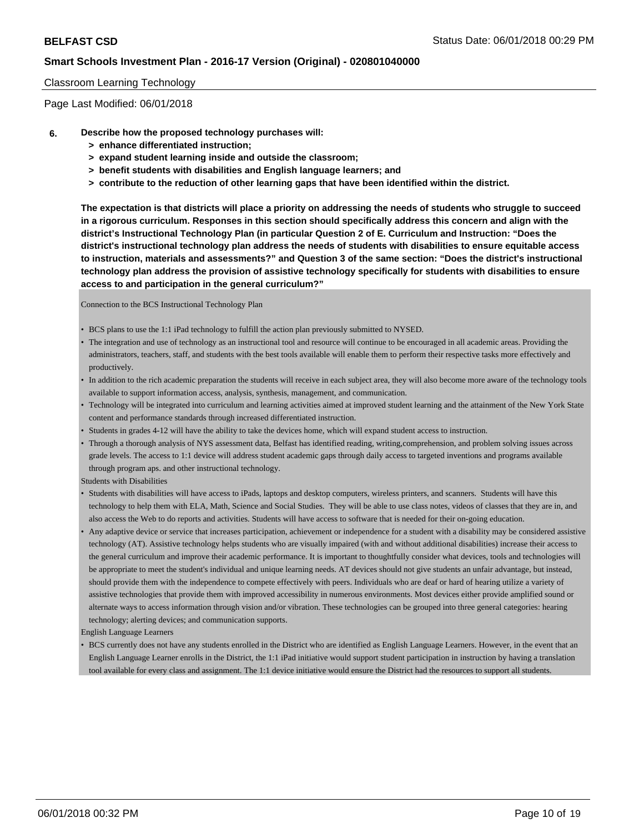### Classroom Learning Technology

Page Last Modified: 06/01/2018

- **6. Describe how the proposed technology purchases will:**
	- **> enhance differentiated instruction;**
	- **> expand student learning inside and outside the classroom;**
	- **> benefit students with disabilities and English language learners; and**
	- **> contribute to the reduction of other learning gaps that have been identified within the district.**

**The expectation is that districts will place a priority on addressing the needs of students who struggle to succeed in a rigorous curriculum. Responses in this section should specifically address this concern and align with the district's Instructional Technology Plan (in particular Question 2 of E. Curriculum and Instruction: "Does the district's instructional technology plan address the needs of students with disabilities to ensure equitable access to instruction, materials and assessments?" and Question 3 of the same section: "Does the district's instructional technology plan address the provision of assistive technology specifically for students with disabilities to ensure access to and participation in the general curriculum?"**

Connection to the BCS Instructional Technology Plan

- BCS plans to use the 1:1 iPad technology to fulfill the action plan previously submitted to NYSED.
- The integration and use of technology as an instructional tool and resource will continue to be encouraged in all academic areas. Providing the administrators, teachers, staff, and students with the best tools available will enable them to perform their respective tasks more effectively and productively.
- In addition to the rich academic preparation the students will receive in each subject area, they will also become more aware of the technology tools available to support information access, analysis, synthesis, management, and communication.
- Technology will be integrated into curriculum and learning activities aimed at improved student learning and the attainment of the New York State content and performance standards through increased differentiated instruction.
- Students in grades 4-12 will have the ability to take the devices home, which will expand student access to instruction.
- Through a thorough analysis of NYS assessment data, Belfast has identified reading, writing,comprehension, and problem solving issues across grade levels. The access to 1:1 device will address student academic gaps through daily access to targeted inventions and programs available through program aps. and other instructional technology.

Students with Disabilities

- Students with disabilities will have access to iPads, laptops and desktop computers, wireless printers, and scanners. Students will have this technology to help them with ELA, Math, Science and Social Studies. They will be able to use class notes, videos of classes that they are in, and also access the Web to do reports and activities. Students will have access to software that is needed for their on-going education.
- Any adaptive device or service that increases participation, achievement or independence for a student with a disability may be considered assistive technology (AT). Assistive technology helps students who are visually impaired (with and without additional disabilities) increase their access to the general curriculum and improve their academic performance. It is important to thoughtfully consider what devices, tools and technologies will be appropriate to meet the student's individual and unique learning needs. AT devices should not give students an unfair advantage, but instead, should provide them with the independence to compete effectively with peers. Individuals who are deaf or hard of hearing utilize a variety of assistive technologies that provide them with improved accessibility in numerous environments. Most devices either provide amplified sound or alternate ways to access information through vision and/or vibration. These technologies can be grouped into three general categories: hearing technology; alerting devices; and communication supports.

English Language Learners

• BCS currently does not have any students enrolled in the District who are identified as English Language Learners. However, in the event that an English Language Learner enrolls in the District, the 1:1 iPad initiative would support student participation in instruction by having a translation tool available for every class and assignment. The 1:1 device initiative would ensure the District had the resources to support all students.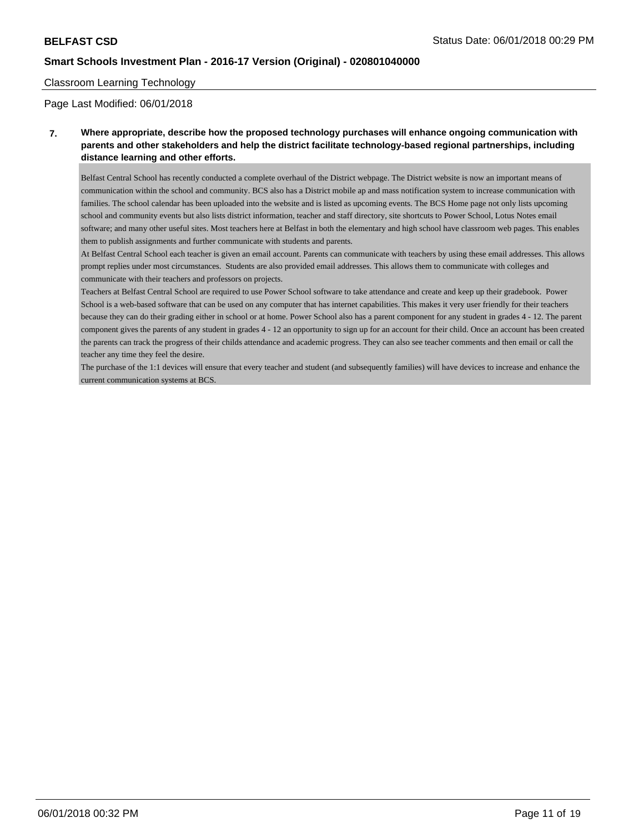### Classroom Learning Technology

Page Last Modified: 06/01/2018

## **7. Where appropriate, describe how the proposed technology purchases will enhance ongoing communication with parents and other stakeholders and help the district facilitate technology-based regional partnerships, including distance learning and other efforts.**

Belfast Central School has recently conducted a complete overhaul of the District webpage. The District website is now an important means of communication within the school and community. BCS also has a District mobile ap and mass notification system to increase communication with families. The school calendar has been uploaded into the website and is listed as upcoming events. The BCS Home page not only lists upcoming school and community events but also lists district information, teacher and staff directory, site shortcuts to Power School, Lotus Notes email software; and many other useful sites. Most teachers here at Belfast in both the elementary and high school have classroom web pages. This enables them to publish assignments and further communicate with students and parents.

At Belfast Central School each teacher is given an email account. Parents can communicate with teachers by using these email addresses. This allows prompt replies under most circumstances. Students are also provided email addresses. This allows them to communicate with colleges and communicate with their teachers and professors on projects.

Teachers at Belfast Central School are required to use Power School software to take attendance and create and keep up their gradebook. Power School is a web-based software that can be used on any computer that has internet capabilities. This makes it very user friendly for their teachers because they can do their grading either in school or at home. Power School also has a parent component for any student in grades 4 - 12. The parent component gives the parents of any student in grades 4 - 12 an opportunity to sign up for an account for their child. Once an account has been created the parents can track the progress of their childs attendance and academic progress. They can also see teacher comments and then email or call the teacher any time they feel the desire.

The purchase of the 1:1 devices will ensure that every teacher and student (and subsequently families) will have devices to increase and enhance the current communication systems at BCS.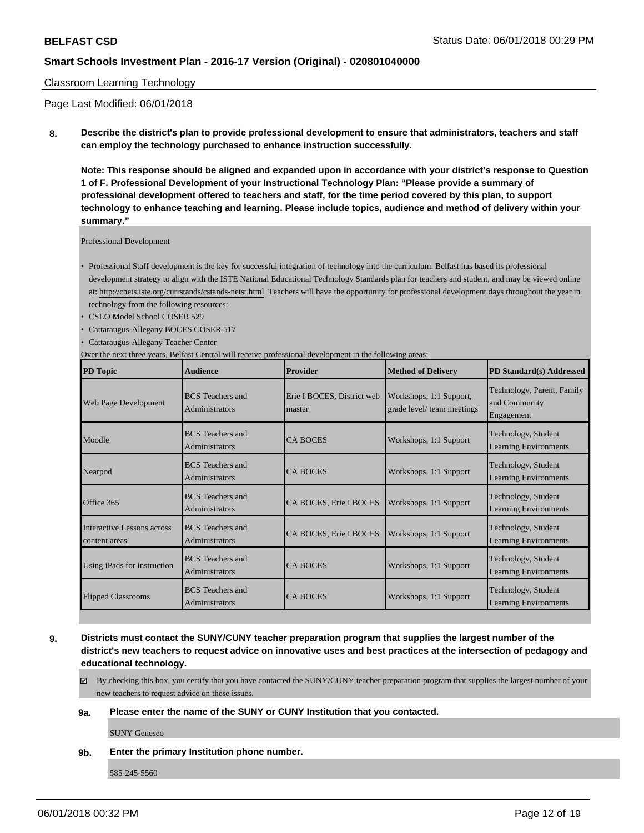### Classroom Learning Technology

Page Last Modified: 06/01/2018

**8. Describe the district's plan to provide professional development to ensure that administrators, teachers and staff can employ the technology purchased to enhance instruction successfully.**

**Note: This response should be aligned and expanded upon in accordance with your district's response to Question 1 of F. Professional Development of your Instructional Technology Plan: "Please provide a summary of professional development offered to teachers and staff, for the time period covered by this plan, to support technology to enhance teaching and learning. Please include topics, audience and method of delivery within your summary."**

Professional Development

- Professional Staff development is the key for successful integration of technology into the curriculum. Belfast has based its professional development strategy to align with the ISTE National Educational Technology Standards plan for teachers and student, and may be viewed online at: http://cnets.iste.org/currstands/cstands-netst.html. Teachers will have the opportunity for professional development days throughout the year in technology from the following resources:
- CSLO Model School COSER 529
- Cattaraugus-Allegany BOCES COSER 517
- Cattaraugus-Allegany Teacher Center

Over the next three years, Belfast Central will receive professional development in the following areas:

| <b>PD</b> Topic                                    | <b>Audience</b>                                  | <b>Provider</b>                      | <b>Method of Delivery</b>                             | PD Standard(s) Addressed                                  |
|----------------------------------------------------|--------------------------------------------------|--------------------------------------|-------------------------------------------------------|-----------------------------------------------------------|
| Web Page Development                               | <b>BCS</b> Teachers and<br>Administrators        | Erie I BOCES, District web<br>master | Workshops, 1:1 Support,<br>grade level/ team meetings | Technology, Parent, Family<br>and Community<br>Engagement |
| Moodle                                             | <b>BCS</b> Teachers and<br>Administrators        | <b>CA BOCES</b>                      | Workshops, 1:1 Support                                | Technology, Student<br><b>Learning Environments</b>       |
| Nearpod                                            | <b>BCS</b> Teachers and<br><b>Administrators</b> | <b>CA BOCES</b>                      | Workshops, 1:1 Support                                | Technology, Student<br>Learning Environments              |
| Office 365                                         | <b>BCS</b> Teachers and<br>Administrators        | CA BOCES, Erie I BOCES               | Workshops, 1:1 Support                                | Technology, Student<br><b>Learning Environments</b>       |
| <b>Interactive Lessons across</b><br>content areas | <b>BCS</b> Teachers and<br>Administrators        | CA BOCES, Erie I BOCES               | Workshops, 1:1 Support                                | Technology, Student<br><b>Learning Environments</b>       |
| Using iPads for instruction                        | <b>BCS</b> Teachers and<br>Administrators        | <b>CA BOCES</b>                      | Workshops, 1:1 Support                                | Technology, Student<br>Learning Environments              |
| <b>Flipped Classrooms</b>                          | <b>BCS</b> Teachers and<br>Administrators        | <b>CA BOCES</b>                      | Workshops, 1:1 Support                                | Technology, Student<br><b>Learning Environments</b>       |

**9. Districts must contact the SUNY/CUNY teacher preparation program that supplies the largest number of the district's new teachers to request advice on innovative uses and best practices at the intersection of pedagogy and educational technology.**

By checking this box, you certify that you have contacted the SUNY/CUNY teacher preparation program that supplies the largest number of your new teachers to request advice on these issues.

### **9a. Please enter the name of the SUNY or CUNY Institution that you contacted.**

SUNY Geneseo

**9b. Enter the primary Institution phone number.**

585-245-5560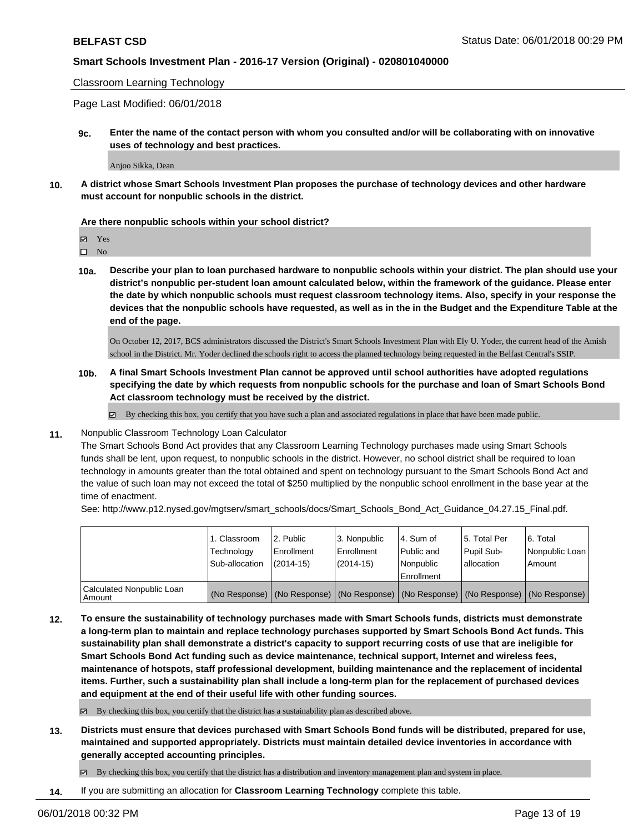Classroom Learning Technology

Page Last Modified: 06/01/2018

**9c. Enter the name of the contact person with whom you consulted and/or will be collaborating with on innovative uses of technology and best practices.**

Anjoo Sikka, Dean

**10. A district whose Smart Schools Investment Plan proposes the purchase of technology devices and other hardware must account for nonpublic schools in the district.**

**Are there nonpublic schools within your school district?**

 $\hfill \square$  No

**10a. Describe your plan to loan purchased hardware to nonpublic schools within your district. The plan should use your district's nonpublic per-student loan amount calculated below, within the framework of the guidance. Please enter the date by which nonpublic schools must request classroom technology items. Also, specify in your response the devices that the nonpublic schools have requested, as well as in the in the Budget and the Expenditure Table at the end of the page.**

On October 12, 2017, BCS administrators discussed the District's Smart Schools Investment Plan with Ely U. Yoder, the current head of the Amish school in the District. Mr. Yoder declined the schools right to access the planned technology being requested in the Belfast Central's SSIP.

**10b. A final Smart Schools Investment Plan cannot be approved until school authorities have adopted regulations specifying the date by which requests from nonpublic schools for the purchase and loan of Smart Schools Bond Act classroom technology must be received by the district.**

 $\boxtimes$  By checking this box, you certify that you have such a plan and associated regulations in place that have been made public.

**11.** Nonpublic Classroom Technology Loan Calculator

The Smart Schools Bond Act provides that any Classroom Learning Technology purchases made using Smart Schools funds shall be lent, upon request, to nonpublic schools in the district. However, no school district shall be required to loan technology in amounts greater than the total obtained and spent on technology pursuant to the Smart Schools Bond Act and the value of such loan may not exceed the total of \$250 multiplied by the nonpublic school enrollment in the base year at the time of enactment.

See: http://www.p12.nysed.gov/mgtserv/smart\_schools/docs/Smart\_Schools\_Bond\_Act\_Guidance\_04.27.15\_Final.pdf.

|                                     | 1. Classroom<br>Technology<br>Sub-allocation | l 2. Public<br>l Enrollment<br>$(2014 - 15)$ | 3. Nonpublic<br>Enrollment<br>$(2014-15)$ | l 4. Sum of<br>l Public and<br>l Nonpublic<br>Enrollment | 15. Total Per<br>Pupil Sub-<br>lallocation | 6. Total<br>Nonpublic Loan<br>Amount                                                          |
|-------------------------------------|----------------------------------------------|----------------------------------------------|-------------------------------------------|----------------------------------------------------------|--------------------------------------------|-----------------------------------------------------------------------------------------------|
| Calculated Nonpublic Loan<br>Amount |                                              |                                              |                                           |                                                          |                                            | (No Response)   (No Response)   (No Response)   (No Response)   (No Response)   (No Response) |

**12. To ensure the sustainability of technology purchases made with Smart Schools funds, districts must demonstrate a long-term plan to maintain and replace technology purchases supported by Smart Schools Bond Act funds. This sustainability plan shall demonstrate a district's capacity to support recurring costs of use that are ineligible for Smart Schools Bond Act funding such as device maintenance, technical support, Internet and wireless fees, maintenance of hotspots, staff professional development, building maintenance and the replacement of incidental items. Further, such a sustainability plan shall include a long-term plan for the replacement of purchased devices and equipment at the end of their useful life with other funding sources.**

 $\boxtimes$  By checking this box, you certify that the district has a sustainability plan as described above.

**13. Districts must ensure that devices purchased with Smart Schools Bond funds will be distributed, prepared for use, maintained and supported appropriately. Districts must maintain detailed device inventories in accordance with generally accepted accounting principles.**

By checking this box, you certify that the district has a distribution and inventory management plan and system in place.

**14.** If you are submitting an allocation for **Classroom Learning Technology** complete this table.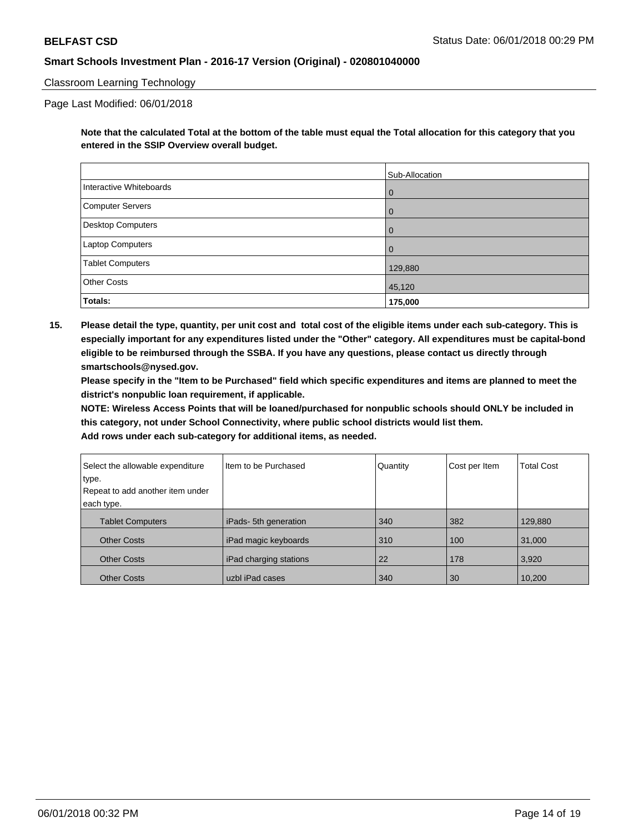### Classroom Learning Technology

Page Last Modified: 06/01/2018

**Note that the calculated Total at the bottom of the table must equal the Total allocation for this category that you entered in the SSIP Overview overall budget.**

|                          | Sub-Allocation |
|--------------------------|----------------|
| Interactive Whiteboards  | l O            |
| Computer Servers         | $\overline{0}$ |
| <b>Desktop Computers</b> | l O            |
| Laptop Computers         | $\overline{0}$ |
| <b>Tablet Computers</b>  | 129,880        |
| <b>Other Costs</b>       | 45,120         |
| Totals:                  | 175,000        |

**15. Please detail the type, quantity, per unit cost and total cost of the eligible items under each sub-category. This is especially important for any expenditures listed under the "Other" category. All expenditures must be capital-bond eligible to be reimbursed through the SSBA. If you have any questions, please contact us directly through smartschools@nysed.gov.**

**Please specify in the "Item to be Purchased" field which specific expenditures and items are planned to meet the district's nonpublic loan requirement, if applicable.**

**NOTE: Wireless Access Points that will be loaned/purchased for nonpublic schools should ONLY be included in this category, not under School Connectivity, where public school districts would list them.**

| Select the allowable expenditure | Item to be Purchased   | Quantity | Cost per Item | <b>Total Cost</b> |
|----------------------------------|------------------------|----------|---------------|-------------------|
| type.                            |                        |          |               |                   |
| Repeat to add another item under |                        |          |               |                   |
| each type.                       |                        |          |               |                   |
| <b>Tablet Computers</b>          | iPads-5th generation   | 340      | 382           | 129,880           |
| <b>Other Costs</b>               | iPad magic keyboards   | 310      | 100           | 31,000            |
| <b>Other Costs</b>               | iPad charging stations | 22       | 178           | 3,920             |
| <b>Other Costs</b>               | uzbl iPad cases        | 340      | 30            | 10,200            |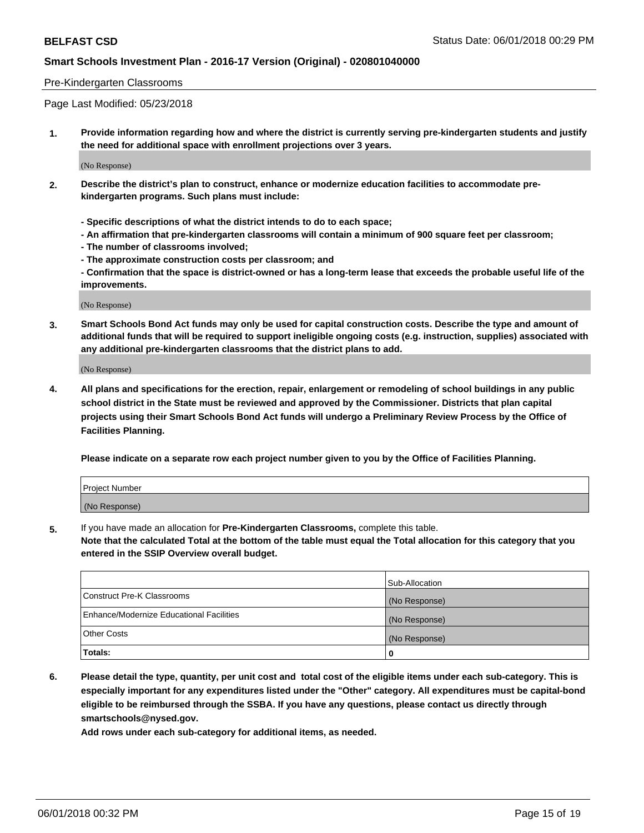### Pre-Kindergarten Classrooms

Page Last Modified: 05/23/2018

**1. Provide information regarding how and where the district is currently serving pre-kindergarten students and justify the need for additional space with enrollment projections over 3 years.**

(No Response)

- **2. Describe the district's plan to construct, enhance or modernize education facilities to accommodate prekindergarten programs. Such plans must include:**
	- **Specific descriptions of what the district intends to do to each space;**
	- **An affirmation that pre-kindergarten classrooms will contain a minimum of 900 square feet per classroom;**
	- **The number of classrooms involved;**
	- **The approximate construction costs per classroom; and**
	- **Confirmation that the space is district-owned or has a long-term lease that exceeds the probable useful life of the improvements.**

(No Response)

**3. Smart Schools Bond Act funds may only be used for capital construction costs. Describe the type and amount of additional funds that will be required to support ineligible ongoing costs (e.g. instruction, supplies) associated with any additional pre-kindergarten classrooms that the district plans to add.**

(No Response)

**4. All plans and specifications for the erection, repair, enlargement or remodeling of school buildings in any public school district in the State must be reviewed and approved by the Commissioner. Districts that plan capital projects using their Smart Schools Bond Act funds will undergo a Preliminary Review Process by the Office of Facilities Planning.**

**Please indicate on a separate row each project number given to you by the Office of Facilities Planning.**

| Project Number |  |
|----------------|--|
| (No Response)  |  |

**5.** If you have made an allocation for **Pre-Kindergarten Classrooms,** complete this table.

**Note that the calculated Total at the bottom of the table must equal the Total allocation for this category that you entered in the SSIP Overview overall budget.**

|                                          | Sub-Allocation |
|------------------------------------------|----------------|
| Construct Pre-K Classrooms               | (No Response)  |
| Enhance/Modernize Educational Facilities | (No Response)  |
| Other Costs                              | (No Response)  |
| Totals:                                  | 0              |

**6. Please detail the type, quantity, per unit cost and total cost of the eligible items under each sub-category. This is especially important for any expenditures listed under the "Other" category. All expenditures must be capital-bond eligible to be reimbursed through the SSBA. If you have any questions, please contact us directly through smartschools@nysed.gov.**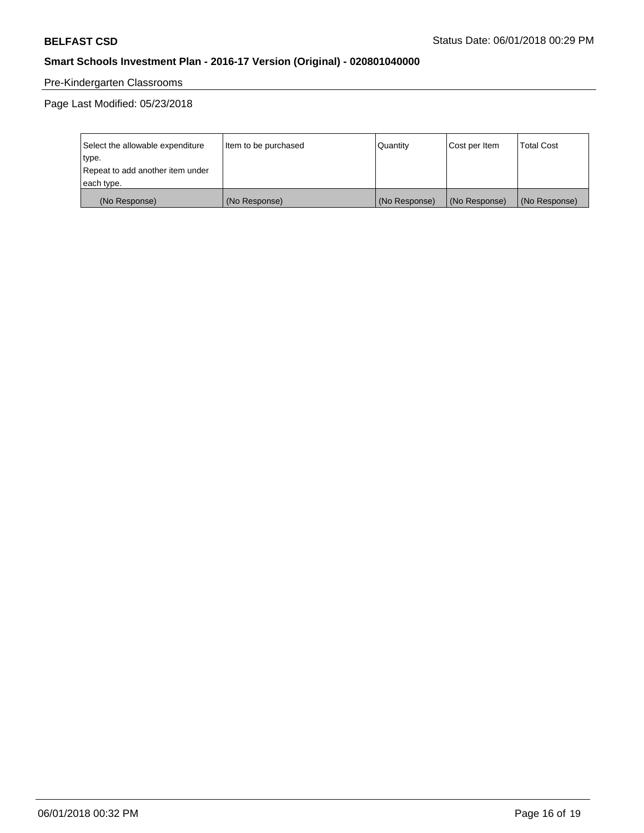# Pre-Kindergarten Classrooms

Page Last Modified: 05/23/2018

| Select the allowable expenditure | Item to be purchased | Quantity      | Cost per Item | <b>Total Cost</b> |
|----------------------------------|----------------------|---------------|---------------|-------------------|
| type.                            |                      |               |               |                   |
| Repeat to add another item under |                      |               |               |                   |
| each type.                       |                      |               |               |                   |
| (No Response)                    | (No Response)        | (No Response) | (No Response) | (No Response)     |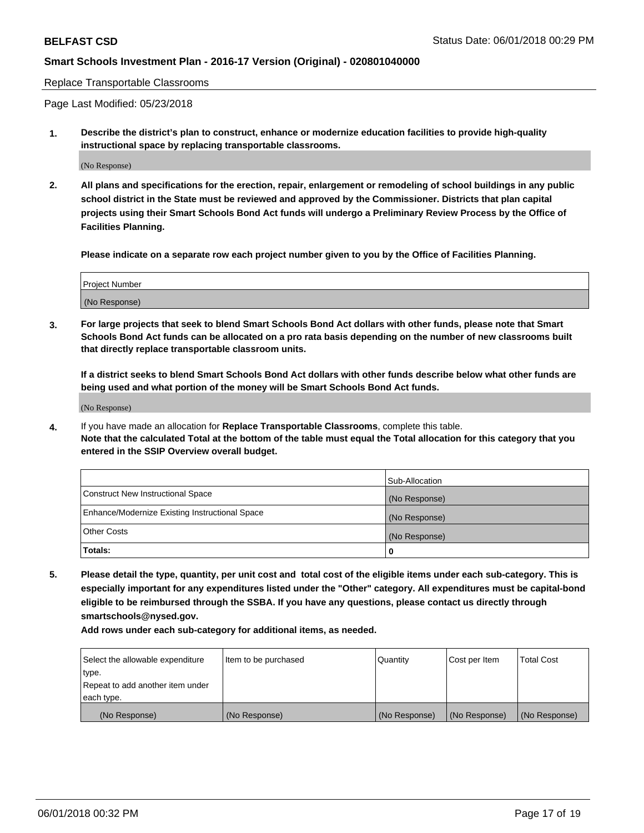Replace Transportable Classrooms

Page Last Modified: 05/23/2018

**1. Describe the district's plan to construct, enhance or modernize education facilities to provide high-quality instructional space by replacing transportable classrooms.**

(No Response)

**2. All plans and specifications for the erection, repair, enlargement or remodeling of school buildings in any public school district in the State must be reviewed and approved by the Commissioner. Districts that plan capital projects using their Smart Schools Bond Act funds will undergo a Preliminary Review Process by the Office of Facilities Planning.**

**Please indicate on a separate row each project number given to you by the Office of Facilities Planning.**

| <b>Project Number</b> |  |
|-----------------------|--|
| (No Response)         |  |
|                       |  |

**3. For large projects that seek to blend Smart Schools Bond Act dollars with other funds, please note that Smart Schools Bond Act funds can be allocated on a pro rata basis depending on the number of new classrooms built that directly replace transportable classroom units.**

**If a district seeks to blend Smart Schools Bond Act dollars with other funds describe below what other funds are being used and what portion of the money will be Smart Schools Bond Act funds.**

(No Response)

**4.** If you have made an allocation for **Replace Transportable Classrooms**, complete this table. **Note that the calculated Total at the bottom of the table must equal the Total allocation for this category that you entered in the SSIP Overview overall budget.**

|                                                | Sub-Allocation |
|------------------------------------------------|----------------|
| Construct New Instructional Space              | (No Response)  |
| Enhance/Modernize Existing Instructional Space | (No Response)  |
| Other Costs                                    | (No Response)  |
| Totals:                                        | 0              |

**5. Please detail the type, quantity, per unit cost and total cost of the eligible items under each sub-category. This is especially important for any expenditures listed under the "Other" category. All expenditures must be capital-bond eligible to be reimbursed through the SSBA. If you have any questions, please contact us directly through smartschools@nysed.gov.**

| Select the allowable expenditure | Item to be purchased | Quantity      | Cost per Item | <b>Total Cost</b> |
|----------------------------------|----------------------|---------------|---------------|-------------------|
| type.                            |                      |               |               |                   |
| Repeat to add another item under |                      |               |               |                   |
| each type.                       |                      |               |               |                   |
| (No Response)                    | (No Response)        | (No Response) | (No Response) | (No Response)     |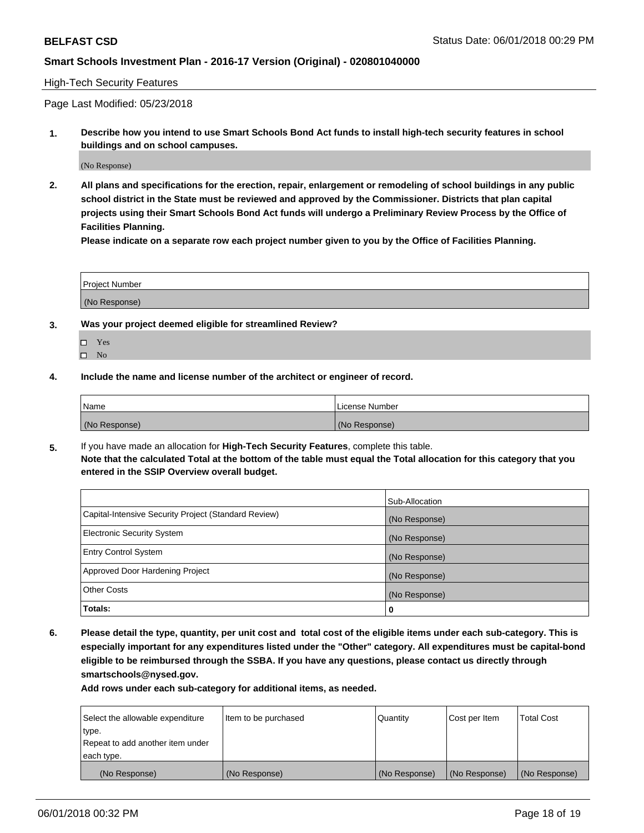### High-Tech Security Features

Page Last Modified: 05/23/2018

**1. Describe how you intend to use Smart Schools Bond Act funds to install high-tech security features in school buildings and on school campuses.**

(No Response)

**2. All plans and specifications for the erection, repair, enlargement or remodeling of school buildings in any public school district in the State must be reviewed and approved by the Commissioner. Districts that plan capital projects using their Smart Schools Bond Act funds will undergo a Preliminary Review Process by the Office of Facilities Planning.** 

**Please indicate on a separate row each project number given to you by the Office of Facilities Planning.**

| <b>Project Number</b> |  |  |
|-----------------------|--|--|
|                       |  |  |
| (No Response)         |  |  |

- **3. Was your project deemed eligible for streamlined Review?**
	- Yes  $\square$  No
- **4. Include the name and license number of the architect or engineer of record.**

| Name          | License Number |
|---------------|----------------|
| (No Response) | (No Response)  |

**5.** If you have made an allocation for **High-Tech Security Features**, complete this table. **Note that the calculated Total at the bottom of the table must equal the Total allocation for this category that you entered in the SSIP Overview overall budget.**

|                                                      | Sub-Allocation |
|------------------------------------------------------|----------------|
| Capital-Intensive Security Project (Standard Review) | (No Response)  |
| <b>Electronic Security System</b>                    | (No Response)  |
| <b>Entry Control System</b>                          | (No Response)  |
| Approved Door Hardening Project                      | (No Response)  |
| <b>Other Costs</b>                                   | (No Response)  |
| Totals:                                              | 0              |

**6. Please detail the type, quantity, per unit cost and total cost of the eligible items under each sub-category. This is especially important for any expenditures listed under the "Other" category. All expenditures must be capital-bond eligible to be reimbursed through the SSBA. If you have any questions, please contact us directly through smartschools@nysed.gov.**

| Select the allowable expenditure | Item to be purchased | Quantity      | Cost per Item | <b>Total Cost</b> |
|----------------------------------|----------------------|---------------|---------------|-------------------|
| type.                            |                      |               |               |                   |
| Repeat to add another item under |                      |               |               |                   |
| each type.                       |                      |               |               |                   |
| (No Response)                    | (No Response)        | (No Response) | (No Response) | (No Response)     |